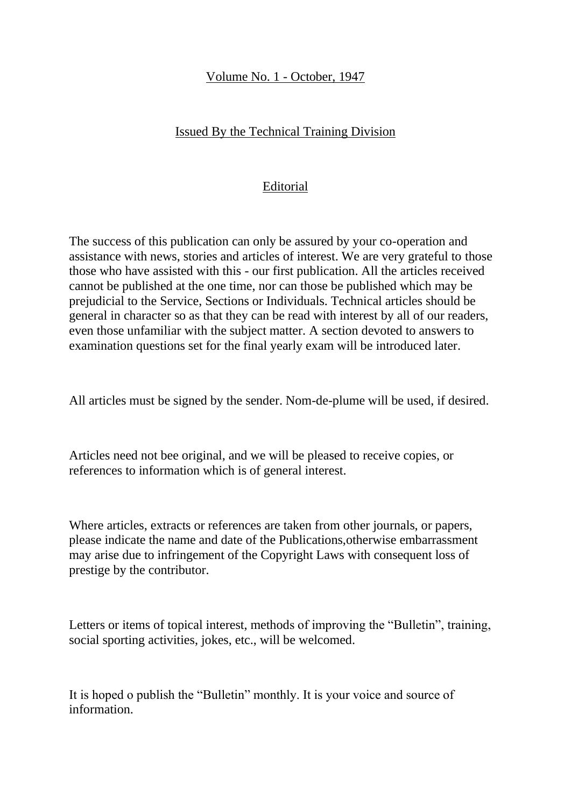### Volume No. 1 - October, 1947

### Issued By the Technical Training Division

### Editorial

The success of this publication can only be assured by your co-operation and assistance with news, stories and articles of interest. We are very grateful to those those who have assisted with this - our first publication. All the articles received cannot be published at the one time, nor can those be published which may be prejudicial to the Service, Sections or Individuals. Technical articles should be general in character so as that they can be read with interest by all of our readers, even those unfamiliar with the subject matter. A section devoted to answers to examination questions set for the final yearly exam will be introduced later.

All articles must be signed by the sender. Nom-de-plume will be used, if desired.

Articles need not bee original, and we will be pleased to receive copies, or references to information which is of general interest.

Where articles, extracts or references are taken from other journals, or papers, please indicate the name and date of the Publications,otherwise embarrassment may arise due to infringement of the Copyright Laws with consequent loss of prestige by the contributor.

Letters or items of topical interest, methods of improving the "Bulletin", training, social sporting activities, jokes, etc., will be welcomed.

It is hoped o publish the "Bulletin" monthly. It is your voice and source of information.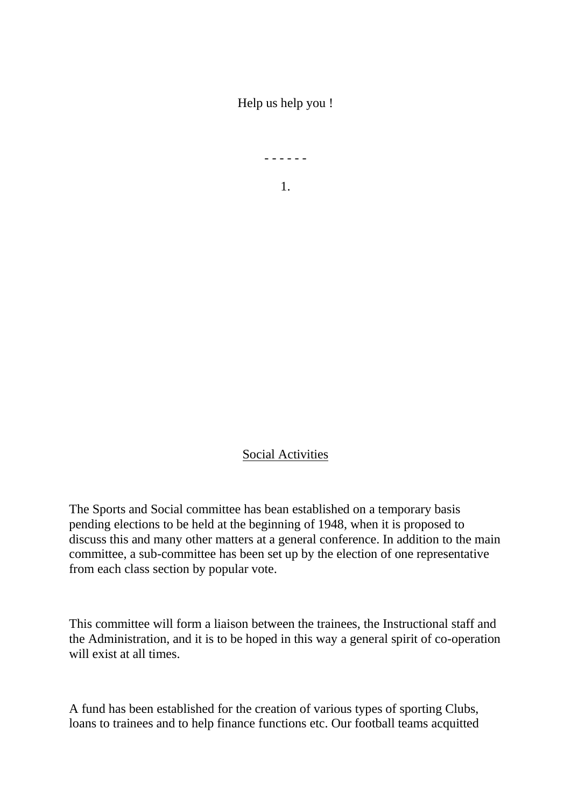Help us help you !

- - - - - -

1.

Social Activities

The Sports and Social committee has bean established on a temporary basis pending elections to be held at the beginning of 1948, when it is proposed to discuss this and many other matters at a general conference. In addition to the main committee, a sub-committee has been set up by the election of one representative from each class section by popular vote.

This committee will form a liaison between the trainees, the Instructional staff and the Administration, and it is to be hoped in this way a general spirit of co-operation will exist at all times.

A fund has been established for the creation of various types of sporting Clubs, loans to trainees and to help finance functions etc. Our football teams acquitted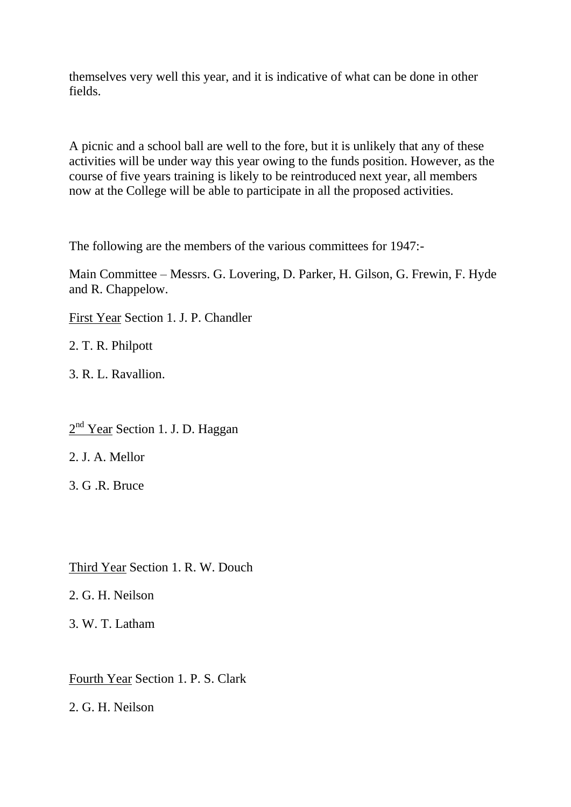themselves very well this year, and it is indicative of what can be done in other fields.

A picnic and a school ball are well to the fore, but it is unlikely that any of these activities will be under way this year owing to the funds position. However, as the course of five years training is likely to be reintroduced next year, all members now at the College will be able to participate in all the proposed activities.

The following are the members of the various committees for 1947:-

Main Committee – Messrs. G. Lovering, D. Parker, H. Gilson, G. Frewin, F. Hyde and R. Chappelow.

First Year Section 1. J. P. Chandler

2. T. R. Philpott

3. R. L. Ravallion.

 $2<sup>nd</sup>$  Year Section 1. J. D. Haggan

2. J. A. Mellor

3. G .R. Bruce

Third Year Section 1. R. W. Douch

2. G. H. Neilson

3. W. T. Latham

Fourth Year Section 1. P. S. Clark

2. G. H. Neilson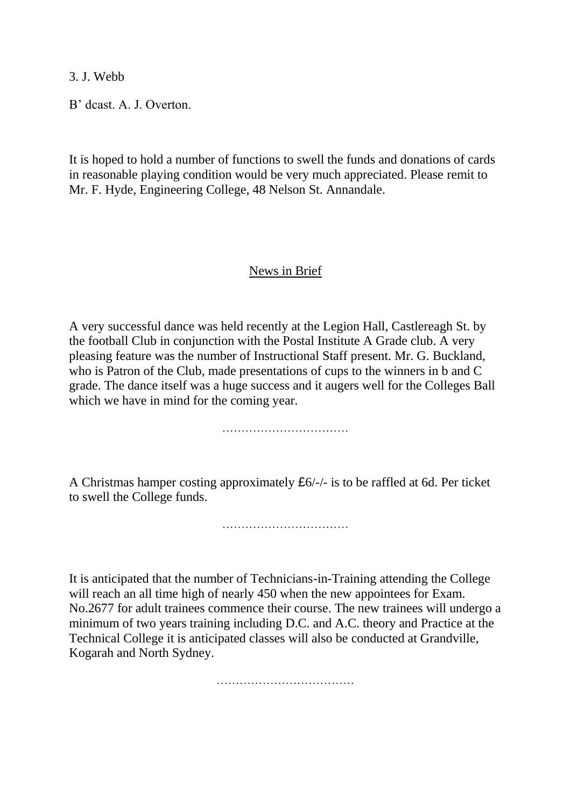3. J. Webb

B' dcast. A. J. Overton.

It is hoped to hold a number of functions to swell the funds and donations of cards in reasonable playing condition would be very much appreciated. Please remit to Mr. F. Hyde, Engineering College, 48 Nelson St. Annandale.

#### News in Brief

A very successful dance was held recently at the Legion Hall, Castlereagh St. by the football Club in conjunction with the Postal Institute A Grade club. A very pleasing feature was the number of Instructional Staff present. Mr. G. Buckland, who is Patron of the Club, made presentations of cups to the winners in b and C grade. The dance itself was a huge success and it augers well for the Colleges Ball which we have in mind for the coming year.

……………………………

A Christmas hamper costing approximately £6/-/- is to be raffled at 6d. Per ticket to swell the College funds.

……………………………

It is anticipated that the number of Technicians-in-Training attending the College will reach an all time high of nearly 450 when the new appointees for Exam. No.2677 for adult trainees commence their course. The new trainees will undergo a minimum of two years training including D.C. and A.C. theory and Practice at the Technical College it is anticipated classes will also be conducted at Grandville, Kogarah and North Sydney.

………………………………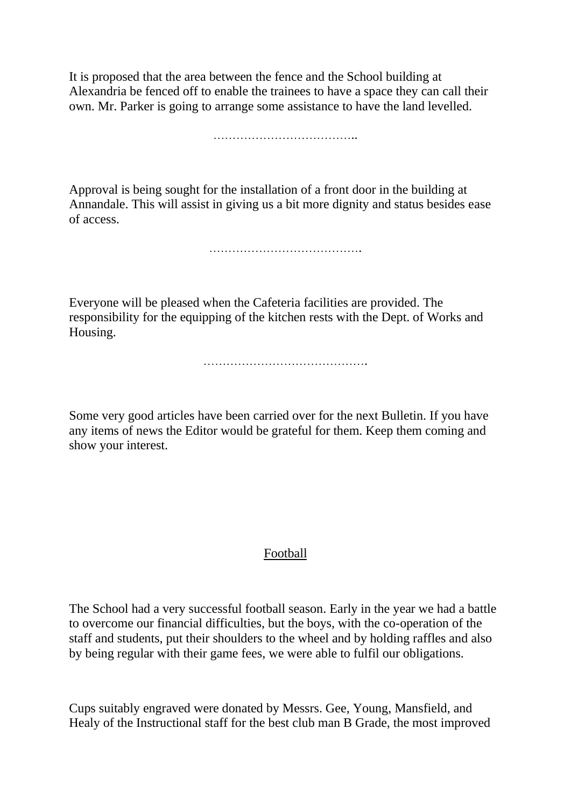It is proposed that the area between the fence and the School building at Alexandria be fenced off to enable the trainees to have a space they can call their own. Mr. Parker is going to arrange some assistance to have the land levelled.

………………………………..

Approval is being sought for the installation of a front door in the building at Annandale. This will assist in giving us a bit more dignity and status besides ease of access.

………………………………….

Everyone will be pleased when the Cafeteria facilities are provided. The responsibility for the equipping of the kitchen rests with the Dept. of Works and Housing.

…………………………………….

Some very good articles have been carried over for the next Bulletin. If you have any items of news the Editor would be grateful for them. Keep them coming and show your interest.

### Football

The School had a very successful football season. Early in the year we had a battle to overcome our financial difficulties, but the boys, with the co-operation of the staff and students, put their shoulders to the wheel and by holding raffles and also by being regular with their game fees, we were able to fulfil our obligations.

Cups suitably engraved were donated by Messrs. Gee, Young, Mansfield, and Healy of the Instructional staff for the best club man B Grade, the most improved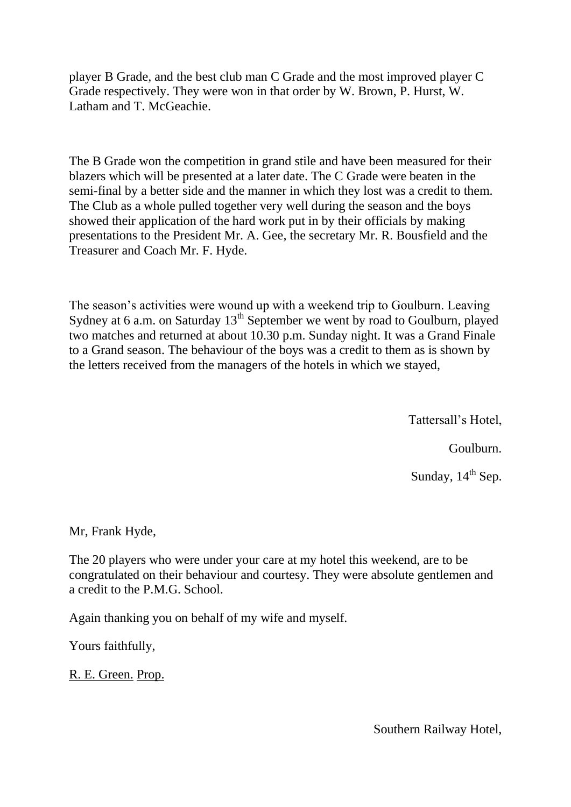player B Grade, and the best club man C Grade and the most improved player C Grade respectively. They were won in that order by W. Brown, P. Hurst, W. Latham and T. McGeachie.

The B Grade won the competition in grand stile and have been measured for their blazers which will be presented at a later date. The C Grade were beaten in the semi-final by a better side and the manner in which they lost was a credit to them. The Club as a whole pulled together very well during the season and the boys showed their application of the hard work put in by their officials by making presentations to the President Mr. A. Gee, the secretary Mr. R. Bousfield and the Treasurer and Coach Mr. F. Hyde.

The season's activities were wound up with a weekend trip to Goulburn. Leaving Sydney at 6 a.m. on Saturday  $13<sup>th</sup>$  September we went by road to Goulburn, played two matches and returned at about 10.30 p.m. Sunday night. It was a Grand Finale to a Grand season. The behaviour of the boys was a credit to them as is shown by the letters received from the managers of the hotels in which we stayed,

Tattersall's Hotel,

Goulburn.

Sunday, 14<sup>th</sup> Sep.

Mr, Frank Hyde,

The 20 players who were under your care at my hotel this weekend, are to be congratulated on their behaviour and courtesy. They were absolute gentlemen and a credit to the P.M.G. School.

Again thanking you on behalf of my wife and myself.

Yours faithfully,

R. E. Green. Prop.

Southern Railway Hotel,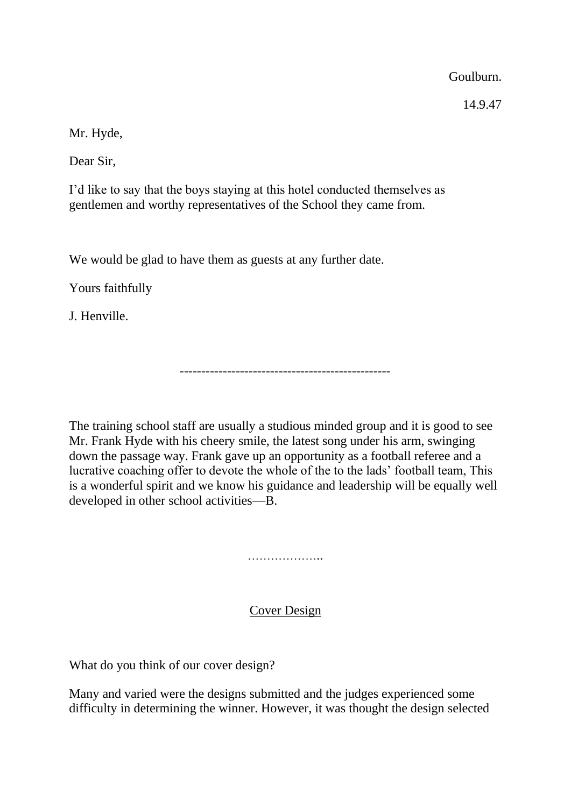Goulburn.

14.9.47

Mr. Hyde,

Dear Sir,

I'd like to say that the boys staying at this hotel conducted themselves as gentlemen and worthy representatives of the School they came from.

We would be glad to have them as guests at any further date.

Yours faithfully

J. Henville.

-------------------------------------------------

The training school staff are usually a studious minded group and it is good to see Mr. Frank Hyde with his cheery smile, the latest song under his arm, swinging down the passage way. Frank gave up an opportunity as a football referee and a lucrative coaching offer to devote the whole of the to the lads' football team, This is a wonderful spirit and we know his guidance and leadership will be equally well developed in other school activities—B.

………………………

# Cover Design

What do you think of our cover design?

Many and varied were the designs submitted and the judges experienced some difficulty in determining the winner. However, it was thought the design selected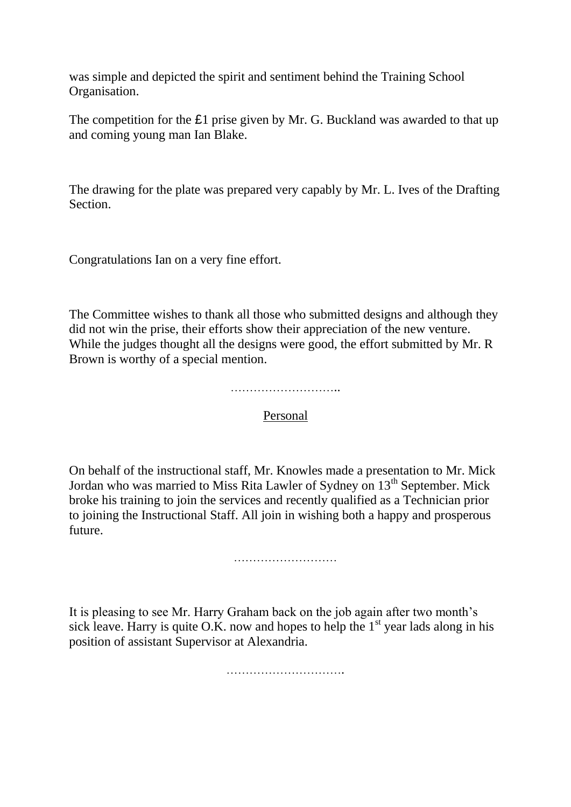was simple and depicted the spirit and sentiment behind the Training School Organisation.

The competition for the £1 prise given by Mr. G. Buckland was awarded to that up and coming young man Ian Blake.

The drawing for the plate was prepared very capably by Mr. L. Ives of the Drafting Section.

Congratulations Ian on a very fine effort.

The Committee wishes to thank all those who submitted designs and although they did not win the prise, their efforts show their appreciation of the new venture. While the judges thought all the designs were good, the effort submitted by Mr. R Brown is worthy of a special mention.

………………………..

Personal

On behalf of the instructional staff, Mr. Knowles made a presentation to Mr. Mick Jordan who was married to Miss Rita Lawler of Sydney on 13<sup>th</sup> September. Mick broke his training to join the services and recently qualified as a Technician prior to joining the Instructional Staff. All join in wishing both a happy and prosperous future.

……………………………

It is pleasing to see Mr. Harry Graham back on the job again after two month's sick leave. Harry is quite O.K. now and hopes to help the  $1<sup>st</sup>$  year lads along in his position of assistant Supervisor at Alexandria.

………………………….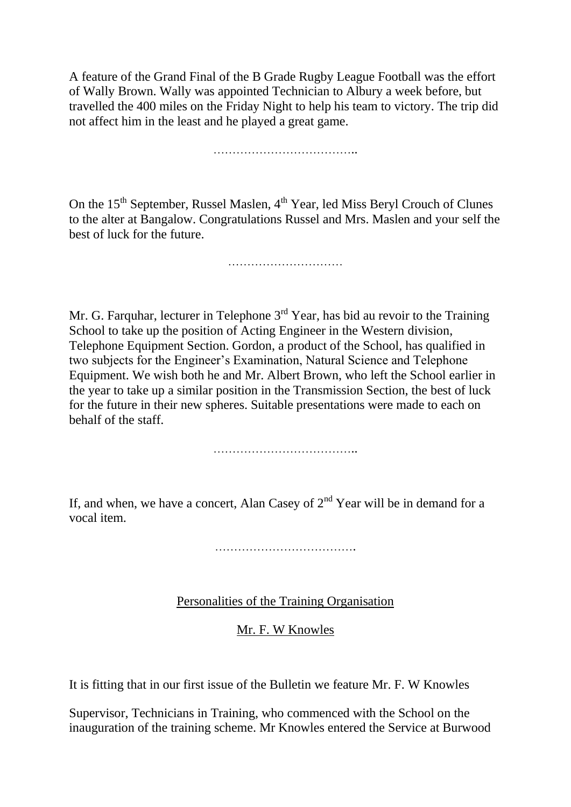A feature of the Grand Final of the B Grade Rugby League Football was the effort of Wally Brown. Wally was appointed Technician to Albury a week before, but travelled the 400 miles on the Friday Night to help his team to victory. The trip did not affect him in the least and he played a great game.

………………………………..

On the 15<sup>th</sup> September, Russel Maslen, 4<sup>th</sup> Year, led Miss Beryl Crouch of Clunes to the alter at Bangalow. Congratulations Russel and Mrs. Maslen and your self the best of luck for the future.

…………………………………………

Mr. G. Farquhar, lecturer in Telephone  $3<sup>rd</sup>$  Year, has bid au revoir to the Training School to take up the position of Acting Engineer in the Western division, Telephone Equipment Section. Gordon, a product of the School, has qualified in two subjects for the Engineer's Examination, Natural Science and Telephone Equipment. We wish both he and Mr. Albert Brown, who left the School earlier in the year to take up a similar position in the Transmission Section, the best of luck for the future in their new spheres. Suitable presentations were made to each on behalf of the staff.

………………………………..

If, and when, we have a concert, Alan Casey of  $2<sup>nd</sup>$  Year will be in demand for a vocal item.

……………………………….

Personalities of the Training Organisation

Mr. F. W Knowles

It is fitting that in our first issue of the Bulletin we feature Mr. F. W Knowles

Supervisor, Technicians in Training, who commenced with the School on the inauguration of the training scheme. Mr Knowles entered the Service at Burwood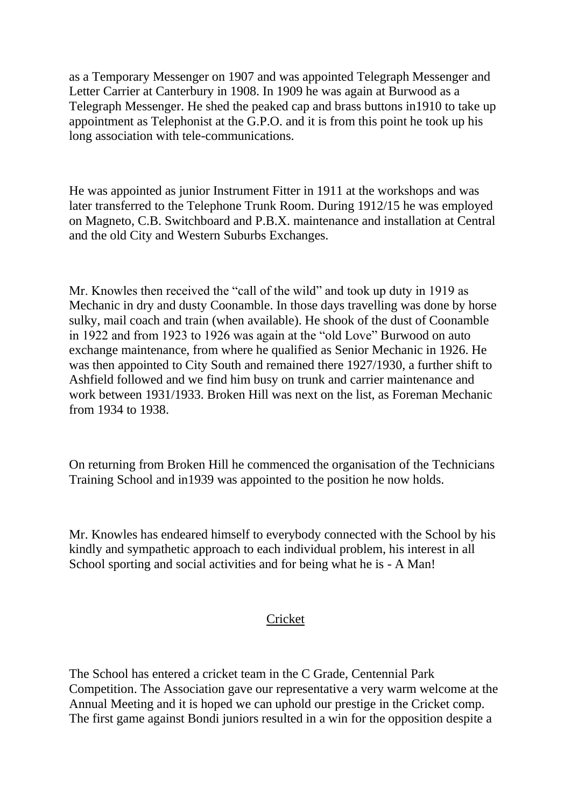as a Temporary Messenger on 1907 and was appointed Telegraph Messenger and Letter Carrier at Canterbury in 1908. In 1909 he was again at Burwood as a Telegraph Messenger. He shed the peaked cap and brass buttons in1910 to take up appointment as Telephonist at the G.P.O. and it is from this point he took up his long association with tele-communications.

He was appointed as junior Instrument Fitter in 1911 at the workshops and was later transferred to the Telephone Trunk Room. During 1912/15 he was employed on Magneto, C.B. Switchboard and P.B.X. maintenance and installation at Central and the old City and Western Suburbs Exchanges.

Mr. Knowles then received the "call of the wild" and took up duty in 1919 as Mechanic in dry and dusty Coonamble. In those days travelling was done by horse sulky, mail coach and train (when available). He shook of the dust of Coonamble in 1922 and from 1923 to 1926 was again at the "old Love" Burwood on auto exchange maintenance, from where he qualified as Senior Mechanic in 1926. He was then appointed to City South and remained there 1927/1930, a further shift to Ashfield followed and we find him busy on trunk and carrier maintenance and work between 1931/1933. Broken Hill was next on the list, as Foreman Mechanic from 1934 to 1938.

On returning from Broken Hill he commenced the organisation of the Technicians Training School and in1939 was appointed to the position he now holds.

Mr. Knowles has endeared himself to everybody connected with the School by his kindly and sympathetic approach to each individual problem, his interest in all School sporting and social activities and for being what he is - A Man!

# **Cricket**

The School has entered a cricket team in the C Grade, Centennial Park Competition. The Association gave our representative a very warm welcome at the Annual Meeting and it is hoped we can uphold our prestige in the Cricket comp. The first game against Bondi juniors resulted in a win for the opposition despite a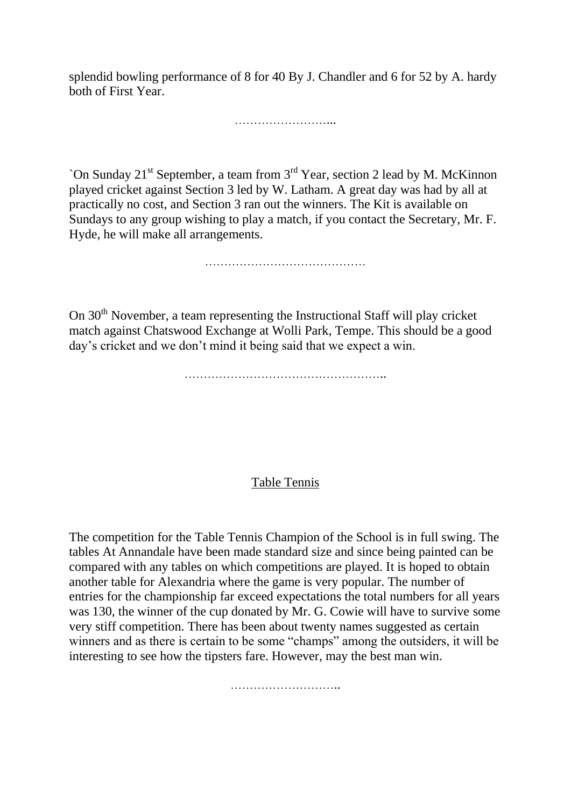splendid bowling performance of 8 for 40 By J. Chandler and 6 for 52 by A. hardy both of First Year.

………………………………

`On Sunday 21st September, a team from 3rd Year, section 2 lead by M. McKinnon played cricket against Section 3 led by W. Latham. A great day was had by all at practically no cost, and Section 3 ran out the winners. The Kit is available on Sundays to any group wishing to play a match, if you contact the Secretary, Mr. F. Hyde, he will make all arrangements.

……………………………………

On 30<sup>th</sup> November, a team representing the Instructional Staff will play cricket match against Chatswood Exchange at Wolli Park, Tempe. This should be a good day's cricket and we don't mind it being said that we expect a win.

……………………………………………..

### Table Tennis

The competition for the Table Tennis Champion of the School is in full swing. The tables At Annandale have been made standard size and since being painted can be compared with any tables on which competitions are played. It is hoped to obtain another table for Alexandria where the game is very popular. The number of entries for the championship far exceed expectations the total numbers for all years was 130, the winner of the cup donated by Mr. G. Cowie will have to survive some very stiff competition. There has been about twenty names suggested as certain winners and as there is certain to be some "champs" among the outsiders, it will be interesting to see how the tipsters fare. However, may the best man win.

………………………..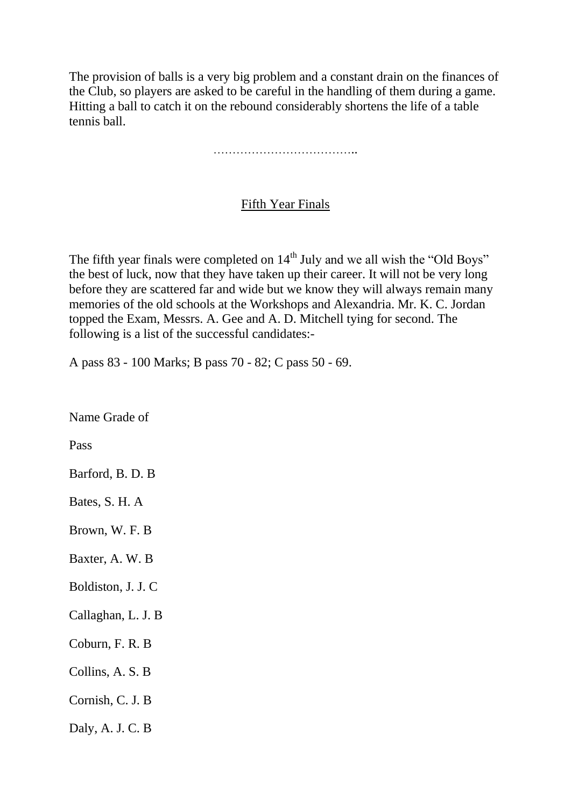The provision of balls is a very big problem and a constant drain on the finances of the Club, so players are asked to be careful in the handling of them during a game. Hitting a ball to catch it on the rebound considerably shortens the life of a table tennis ball.

………………………………..

#### Fifth Year Finals

The fifth year finals were completed on  $14<sup>th</sup>$  July and we all wish the "Old Boys" the best of luck, now that they have taken up their career. It will not be very long before they are scattered far and wide but we know they will always remain many memories of the old schools at the Workshops and Alexandria. Mr. K. C. Jordan topped the Exam, Messrs. A. Gee and A. D. Mitchell tying for second. The following is a list of the successful candidates:-

A pass 83 - 100 Marks; B pass 70 - 82; C pass 50 - 69.

Name Grade of

Pass

Barford, B. D. B

Bates, S. H. A

Brown, W. F. B

Baxter, A. W. B

Boldiston, J. J. C

Callaghan, L. J. B

Coburn, F. R. B

Collins, A. S. B

Cornish, C. J. B

Daly, A. J. C. B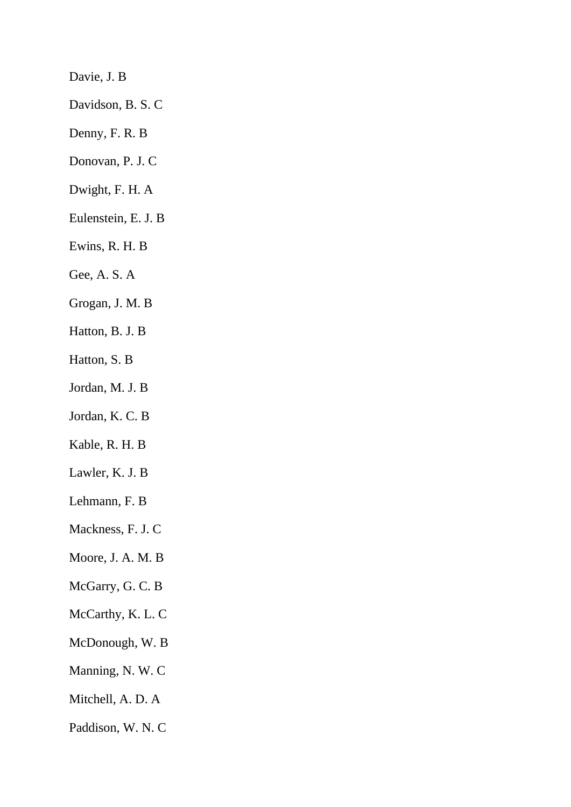Davie, J. B

Davidson, B. S. C

- Denny, F. R. B
- Donovan, P. J. C
- Dwight, F. H. A
- Eulenstein, E. J. B
- Ewins, R. H. B
- Gee, A. S. A
- Grogan, J. M. B
- Hatton, B. J. B
- Hatton, S. B
- Jordan, M. J. B
- Jordan, K. C. B
- Kable, R. H. B
- Lawler, K. J. B
- Lehmann, F. B
- Mackness, F. J. C
- Moore, J. A. M. B
- McGarry, G. C. B
- McCarthy, K. L. C
- McDonough, W. B
- Manning, N. W. C
- Mitchell, A. D. A
- Paddison, W. N. C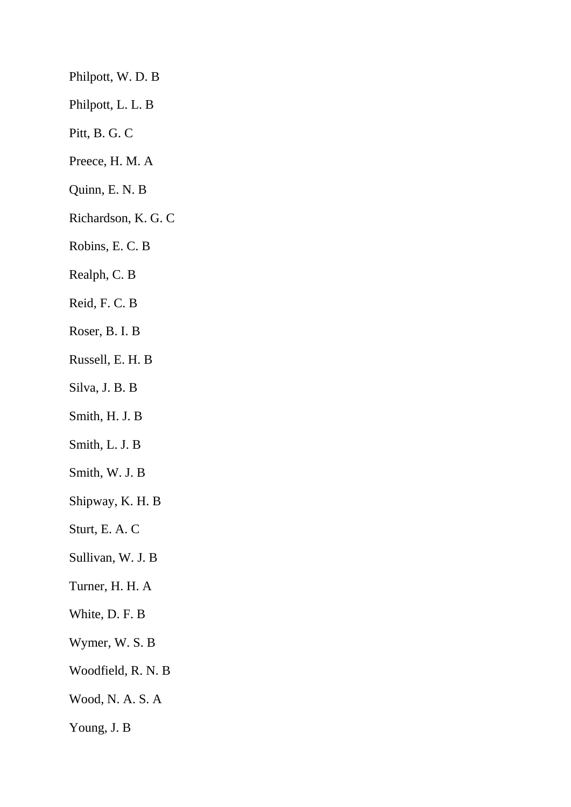Philpott, W. D. B Philpott, L. L. B Pitt, B. G. C Preece, H. M. A Quinn, E. N. B Richardson, K. G. C Robins, E. C. B Realph, C. B Reid, F. C. B Roser, B. I. B Russell, E. H. B Silva, J. B. B Smith, H. J. B Smith, L. J. B Smith, W. J. B Shipway, K. H. B Sturt, E. A. C Sullivan, W. J. B Turner, H. H. A White, D. F. B Wymer, W. S. B Woodfield, R. N. B Wood, N. A. S. A Young, J. B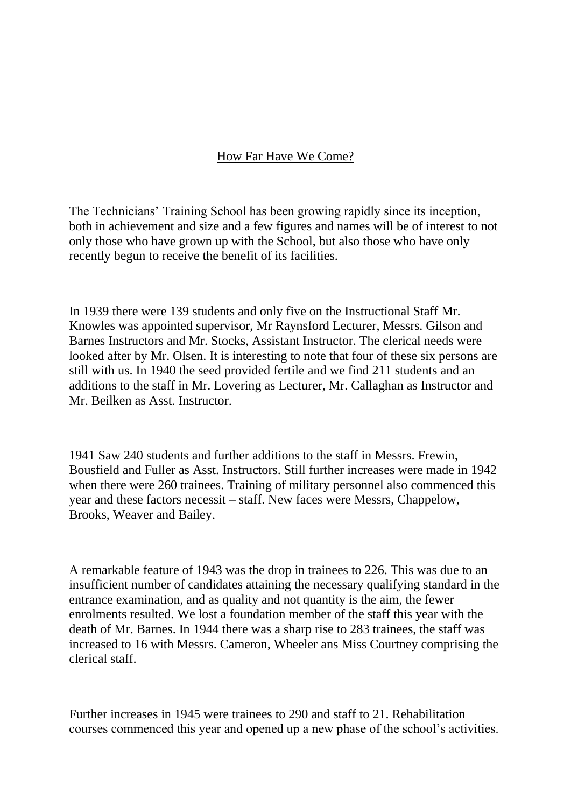### How Far Have We Come?

The Technicians' Training School has been growing rapidly since its inception, both in achievement and size and a few figures and names will be of interest to not only those who have grown up with the School, but also those who have only recently begun to receive the benefit of its facilities.

In 1939 there were 139 students and only five on the Instructional Staff Mr. Knowles was appointed supervisor, Mr Raynsford Lecturer, Messrs. Gilson and Barnes Instructors and Mr. Stocks, Assistant Instructor. The clerical needs were looked after by Mr. Olsen. It is interesting to note that four of these six persons are still with us. In 1940 the seed provided fertile and we find 211 students and an additions to the staff in Mr. Lovering as Lecturer, Mr. Callaghan as Instructor and Mr. Beilken as Asst. Instructor.

1941 Saw 240 students and further additions to the staff in Messrs. Frewin, Bousfield and Fuller as Asst. Instructors. Still further increases were made in 1942 when there were 260 trainees. Training of military personnel also commenced this year and these factors necessit – staff. New faces were Messrs, Chappelow, Brooks, Weaver and Bailey.

A remarkable feature of 1943 was the drop in trainees to 226. This was due to an insufficient number of candidates attaining the necessary qualifying standard in the entrance examination, and as quality and not quantity is the aim, the fewer enrolments resulted. We lost a foundation member of the staff this year with the death of Mr. Barnes. In 1944 there was a sharp rise to 283 trainees, the staff was increased to 16 with Messrs. Cameron, Wheeler ans Miss Courtney comprising the clerical staff.

Further increases in 1945 were trainees to 290 and staff to 21. Rehabilitation courses commenced this year and opened up a new phase of the school's activities.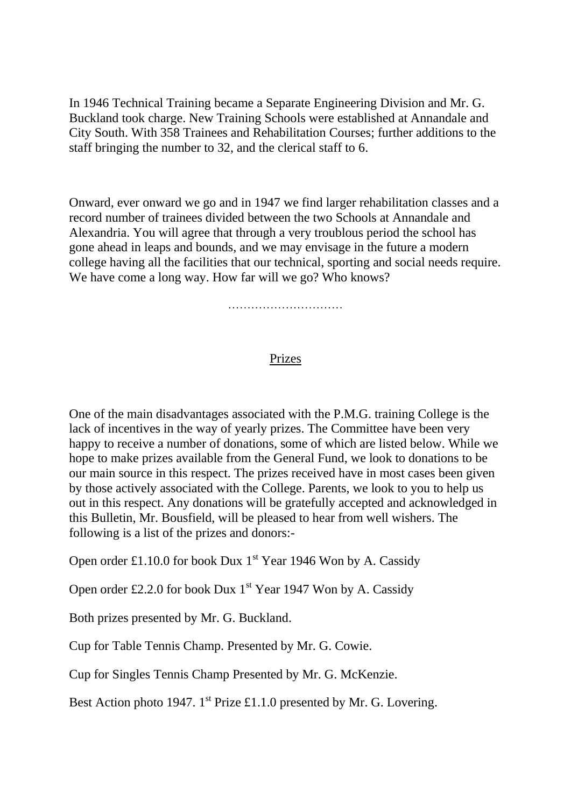In 1946 Technical Training became a Separate Engineering Division and Mr. G. Buckland took charge. New Training Schools were established at Annandale and City South. With 358 Trainees and Rehabilitation Courses; further additions to the staff bringing the number to 32, and the clerical staff to 6.

Onward, ever onward we go and in 1947 we find larger rehabilitation classes and a record number of trainees divided between the two Schools at Annandale and Alexandria. You will agree that through a very troublous period the school has gone ahead in leaps and bounds, and we may envisage in the future a modern college having all the facilities that our technical, sporting and social needs require. We have come a long way. How far will we go? Who knows?

…………………………

### Prizes

One of the main disadvantages associated with the P.M.G. training College is the lack of incentives in the way of yearly prizes. The Committee have been very happy to receive a number of donations, some of which are listed below. While we hope to make prizes available from the General Fund, we look to donations to be our main source in this respect. The prizes received have in most cases been given by those actively associated with the College. Parents, we look to you to help us out in this respect. Any donations will be gratefully accepted and acknowledged in this Bulletin, Mr. Bousfield, will be pleased to hear from well wishers. The following is a list of the prizes and donors:-

Open order £1.10.0 for book Dux  $1<sup>st</sup>$  Year 1946 Won by A. Cassidy

Open order £2.2.0 for book Dux  $1<sup>st</sup>$  Year 1947 Won by A. Cassidy

Both prizes presented by Mr. G. Buckland.

Cup for Table Tennis Champ. Presented by Mr. G. Cowie.

Cup for Singles Tennis Champ Presented by Mr. G. McKenzie.

Best Action photo 1947. 1<sup>st</sup> Prize £1.1.0 presented by Mr. G. Lovering.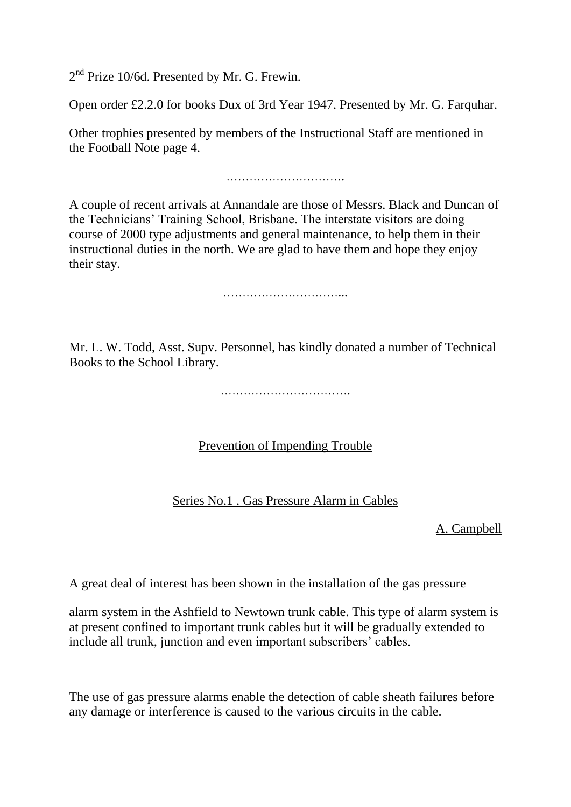2<sup>nd</sup> Prize 10/6d. Presented by Mr. G. Frewin.

Open order £2.2.0 for books Dux of 3rd Year 1947. Presented by Mr. G. Farquhar.

Other trophies presented by members of the Instructional Staff are mentioned in the Football Note page 4.

………………………….

A couple of recent arrivals at Annandale are those of Messrs. Black and Duncan of the Technicians' Training School, Brisbane. The interstate visitors are doing course of 2000 type adjustments and general maintenance, to help them in their instructional duties in the north. We are glad to have them and hope they enjoy their stay.

…………………………...

Mr. L. W. Todd, Asst. Supv. Personnel, has kindly donated a number of Technical Books to the School Library.

…………………………….

Prevention of Impending Trouble

Series No.1 . Gas Pressure Alarm in Cables

A. Campbell

A great deal of interest has been shown in the installation of the gas pressure

alarm system in the Ashfield to Newtown trunk cable. This type of alarm system is at present confined to important trunk cables but it will be gradually extended to include all trunk, junction and even important subscribers' cables.

The use of gas pressure alarms enable the detection of cable sheath failures before any damage or interference is caused to the various circuits in the cable.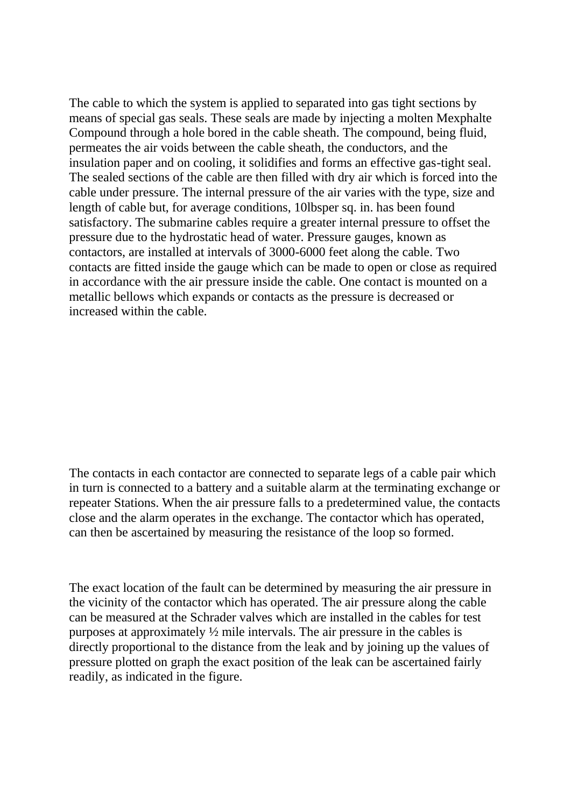The cable to which the system is applied to separated into gas tight sections by means of special gas seals. These seals are made by injecting a molten Mexphalte Compound through a hole bored in the cable sheath. The compound, being fluid, permeates the air voids between the cable sheath, the conductors, and the insulation paper and on cooling, it solidifies and forms an effective gas-tight seal. The sealed sections of the cable are then filled with dry air which is forced into the cable under pressure. The internal pressure of the air varies with the type, size and length of cable but, for average conditions, 10lbsper sq. in. has been found satisfactory. The submarine cables require a greater internal pressure to offset the pressure due to the hydrostatic head of water. Pressure gauges, known as contactors, are installed at intervals of 3000-6000 feet along the cable. Two contacts are fitted inside the gauge which can be made to open or close as required in accordance with the air pressure inside the cable. One contact is mounted on a metallic bellows which expands or contacts as the pressure is decreased or increased within the cable.

The contacts in each contactor are connected to separate legs of a cable pair which in turn is connected to a battery and a suitable alarm at the terminating exchange or repeater Stations. When the air pressure falls to a predetermined value, the contacts close and the alarm operates in the exchange. The contactor which has operated, can then be ascertained by measuring the resistance of the loop so formed.

The exact location of the fault can be determined by measuring the air pressure in the vicinity of the contactor which has operated. The air pressure along the cable can be measured at the Schrader valves which are installed in the cables for test purposes at approximately ½ mile intervals. The air pressure in the cables is directly proportional to the distance from the leak and by joining up the values of pressure plotted on graph the exact position of the leak can be ascertained fairly readily, as indicated in the figure.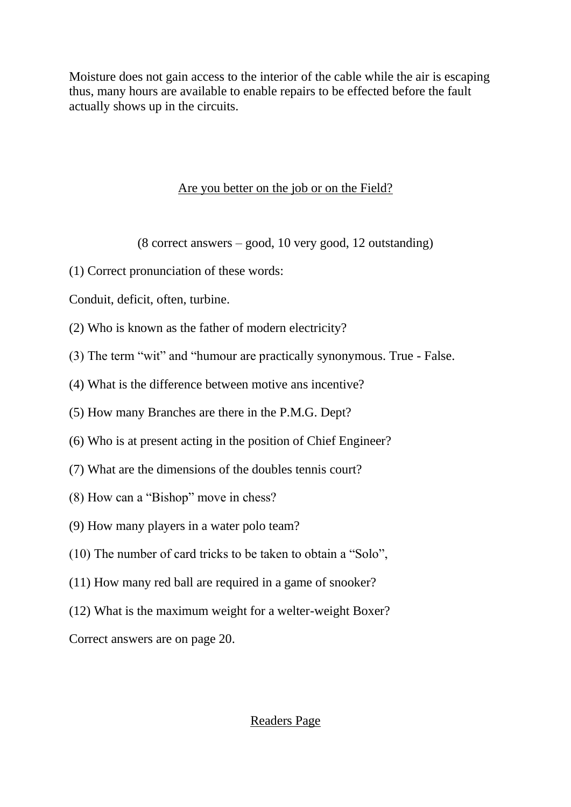Moisture does not gain access to the interior of the cable while the air is escaping thus, many hours are available to enable repairs to be effected before the fault actually shows up in the circuits.

# Are you better on the job or on the Field?

(8 correct answers – good, 10 very good, 12 outstanding)

(1) Correct pronunciation of these words:

Conduit, deficit, often, turbine.

- (2) Who is known as the father of modern electricity?
- (3) The term "wit" and "humour are practically synonymous. True False.
- (4) What is the difference between motive ans incentive?
- (5) How many Branches are there in the P.M.G. Dept?
- (6) Who is at present acting in the position of Chief Engineer?
- (7) What are the dimensions of the doubles tennis court?
- (8) How can a "Bishop" move in chess?
- (9) How many players in a water polo team?
- (10) The number of card tricks to be taken to obtain a "Solo",
- (11) How many red ball are required in a game of snooker?
- (12) What is the maximum weight for a welter-weight Boxer?

Correct answers are on page 20.

# Readers Page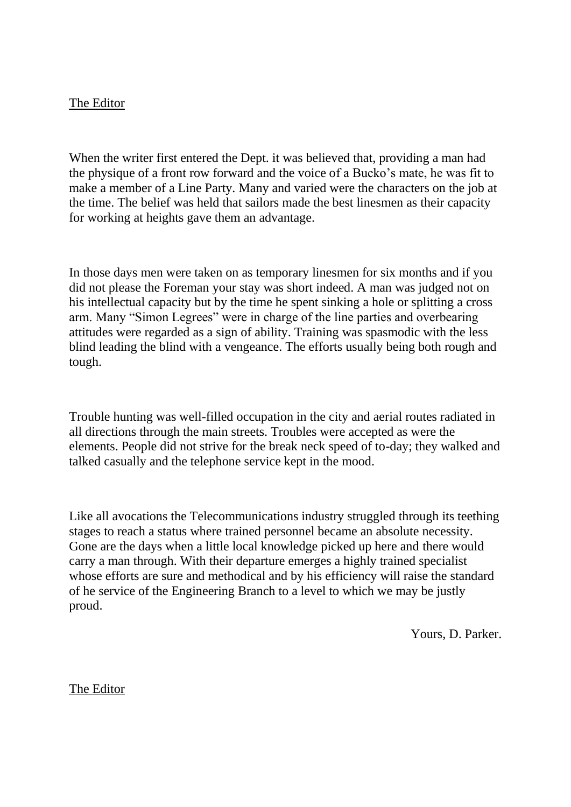#### The Editor

When the writer first entered the Dept. it was believed that, providing a man had the physique of a front row forward and the voice of a Bucko's mate, he was fit to make a member of a Line Party. Many and varied were the characters on the job at the time. The belief was held that sailors made the best linesmen as their capacity for working at heights gave them an advantage.

In those days men were taken on as temporary linesmen for six months and if you did not please the Foreman your stay was short indeed. A man was judged not on his intellectual capacity but by the time he spent sinking a hole or splitting a cross arm. Many "Simon Legrees" were in charge of the line parties and overbearing attitudes were regarded as a sign of ability. Training was spasmodic with the less blind leading the blind with a vengeance. The efforts usually being both rough and tough.

Trouble hunting was well-filled occupation in the city and aerial routes radiated in all directions through the main streets. Troubles were accepted as were the elements. People did not strive for the break neck speed of to-day; they walked and talked casually and the telephone service kept in the mood.

Like all avocations the Telecommunications industry struggled through its teething stages to reach a status where trained personnel became an absolute necessity. Gone are the days when a little local knowledge picked up here and there would carry a man through. With their departure emerges a highly trained specialist whose efforts are sure and methodical and by his efficiency will raise the standard of he service of the Engineering Branch to a level to which we may be justly proud.

Yours, D. Parker.

The Editor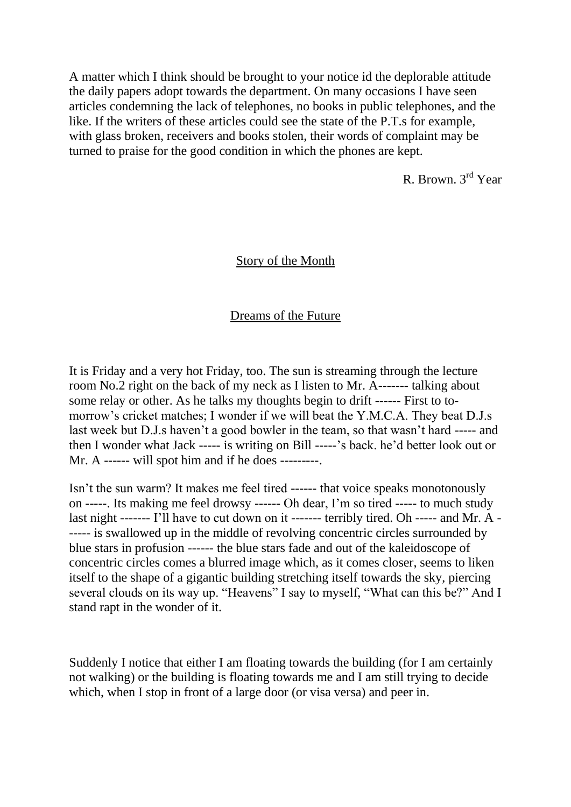A matter which I think should be brought to your notice id the deplorable attitude the daily papers adopt towards the department. On many occasions I have seen articles condemning the lack of telephones, no books in public telephones, and the like. If the writers of these articles could see the state of the P.T.s for example, with glass broken, receivers and books stolen, their words of complaint may be turned to praise for the good condition in which the phones are kept.

R. Brown. 3rd Year

#### Story of the Month

#### Dreams of the Future

It is Friday and a very hot Friday, too. The sun is streaming through the lecture room No.2 right on the back of my neck as I listen to Mr. A------- talking about some relay or other. As he talks my thoughts begin to drift ------ First to tomorrow's cricket matches; I wonder if we will beat the Y.M.C.A. They beat D.J.s last week but D.J.s haven't a good bowler in the team, so that wasn't hard ----- and then I wonder what Jack ----- is writing on Bill -----'s back. he'd better look out or Mr. A ------ will spot him and if he does ---------.

Isn't the sun warm? It makes me feel tired ------ that voice speaks monotonously on -----. Its making me feel drowsy ------ Oh dear, I'm so tired ----- to much study last night ------- I'll have to cut down on it ------- terribly tired. Oh ----- and Mr. A - ----- is swallowed up in the middle of revolving concentric circles surrounded by blue stars in profusion ------ the blue stars fade and out of the kaleidoscope of concentric circles comes a blurred image which, as it comes closer, seems to liken itself to the shape of a gigantic building stretching itself towards the sky, piercing several clouds on its way up. "Heavens" I say to myself, "What can this be?" And I stand rapt in the wonder of it.

Suddenly I notice that either I am floating towards the building (for I am certainly not walking) or the building is floating towards me and I am still trying to decide which, when I stop in front of a large door (or visa versa) and peer in.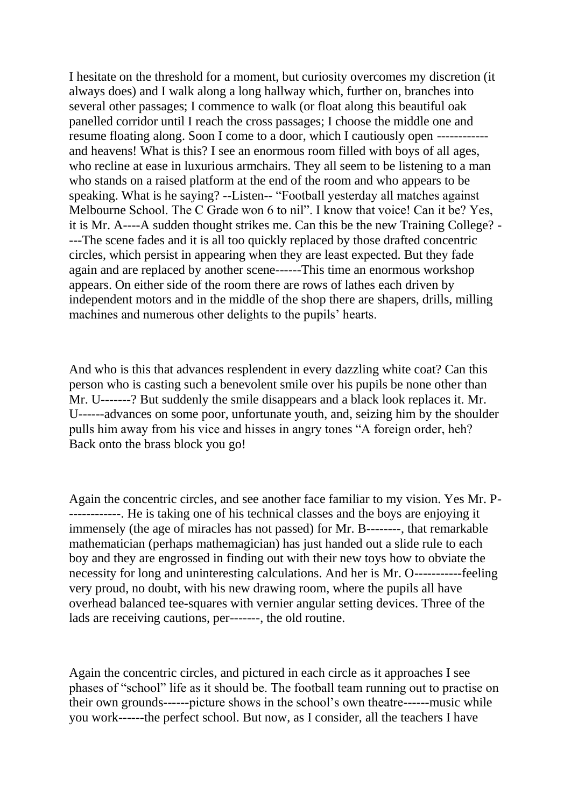I hesitate on the threshold for a moment, but curiosity overcomes my discretion (it always does) and I walk along a long hallway which, further on, branches into several other passages; I commence to walk (or float along this beautiful oak panelled corridor until I reach the cross passages; I choose the middle one and resume floating along. Soon I come to a door, which I cautiously open ----------- and heavens! What is this? I see an enormous room filled with boys of all ages, who recline at ease in luxurious armchairs. They all seem to be listening to a man who stands on a raised platform at the end of the room and who appears to be speaking. What is he saying? --Listen-- "Football yesterday all matches against Melbourne School. The C Grade won 6 to nil". I know that voice! Can it be? Yes, it is Mr. A----A sudden thought strikes me. Can this be the new Training College? - ---The scene fades and it is all too quickly replaced by those drafted concentric circles, which persist in appearing when they are least expected. But they fade again and are replaced by another scene------This time an enormous workshop appears. On either side of the room there are rows of lathes each driven by independent motors and in the middle of the shop there are shapers, drills, milling machines and numerous other delights to the pupils' hearts.

And who is this that advances resplendent in every dazzling white coat? Can this person who is casting such a benevolent smile over his pupils be none other than Mr. U-------? But suddenly the smile disappears and a black look replaces it. Mr. U------advances on some poor, unfortunate youth, and, seizing him by the shoulder pulls him away from his vice and hisses in angry tones "A foreign order, heh? Back onto the brass block you go!

Again the concentric circles, and see another face familiar to my vision. Yes Mr. P- ------------. He is taking one of his technical classes and the boys are enjoying it immensely (the age of miracles has not passed) for Mr. B--------, that remarkable mathematician (perhaps mathemagician) has just handed out a slide rule to each boy and they are engrossed in finding out with their new toys how to obviate the necessity for long and uninteresting calculations. And her is Mr. O-----------feeling very proud, no doubt, with his new drawing room, where the pupils all have overhead balanced tee-squares with vernier angular setting devices. Three of the lads are receiving cautions, per-------, the old routine.

Again the concentric circles, and pictured in each circle as it approaches I see phases of "school" life as it should be. The football team running out to practise on their own grounds------picture shows in the school's own theatre------music while you work------the perfect school. But now, as I consider, all the teachers I have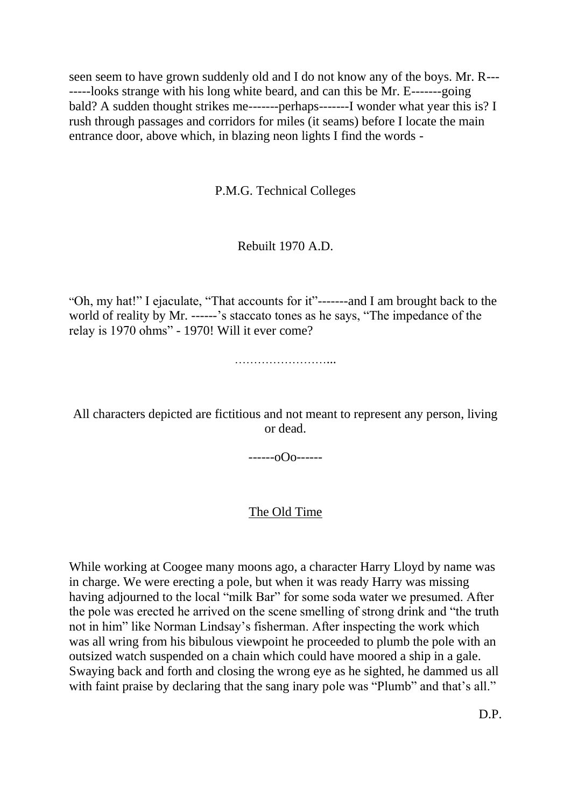seen seem to have grown suddenly old and I do not know any of the boys. Mr. R--- -----looks strange with his long white beard, and can this be Mr. E-------going bald? A sudden thought strikes me-------perhaps-------I wonder what year this is? I rush through passages and corridors for miles (it seams) before I locate the main entrance door, above which, in blazing neon lights I find the words -

P.M.G. Technical Colleges

### Rebuilt 1970 A.D.

"Oh, my hat!" I ejaculate, "That accounts for it"-------and I am brought back to the world of reality by Mr. ------'s staccato tones as he says, "The impedance of the relay is 1970 ohms" - 1970! Will it ever come?

……………………...

All characters depicted are fictitious and not meant to represent any person, living or dead.

 $---o$ Oo $---o$ 

### The Old Time

While working at Coogee many moons ago, a character Harry Lloyd by name was in charge. We were erecting a pole, but when it was ready Harry was missing having adjourned to the local "milk Bar" for some soda water we presumed. After the pole was erected he arrived on the scene smelling of strong drink and "the truth not in him" like Norman Lindsay's fisherman. After inspecting the work which was all wring from his bibulous viewpoint he proceeded to plumb the pole with an outsized watch suspended on a chain which could have moored a ship in a gale. Swaying back and forth and closing the wrong eye as he sighted, he dammed us all with faint praise by declaring that the sang inary pole was "Plumb" and that's all."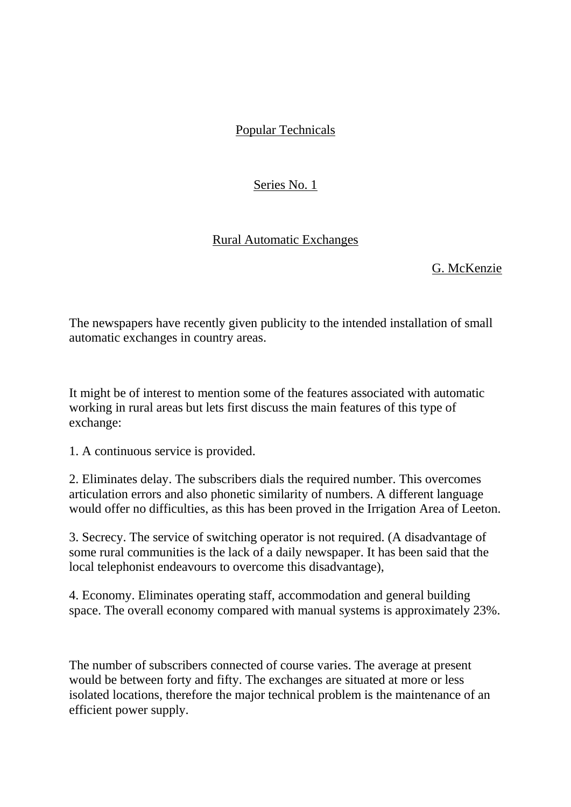# Popular Technicals

# Series No. 1

# Rural Automatic Exchanges

### G. McKenzie

The newspapers have recently given publicity to the intended installation of small automatic exchanges in country areas.

It might be of interest to mention some of the features associated with automatic working in rural areas but lets first discuss the main features of this type of exchange:

1. A continuous service is provided.

2. Eliminates delay. The subscribers dials the required number. This overcomes articulation errors and also phonetic similarity of numbers. A different language would offer no difficulties, as this has been proved in the Irrigation Area of Leeton.

3. Secrecy. The service of switching operator is not required. (A disadvantage of some rural communities is the lack of a daily newspaper. It has been said that the local telephonist endeavours to overcome this disadvantage),

4. Economy. Eliminates operating staff, accommodation and general building space. The overall economy compared with manual systems is approximately 23%.

The number of subscribers connected of course varies. The average at present would be between forty and fifty. The exchanges are situated at more or less isolated locations, therefore the major technical problem is the maintenance of an efficient power supply.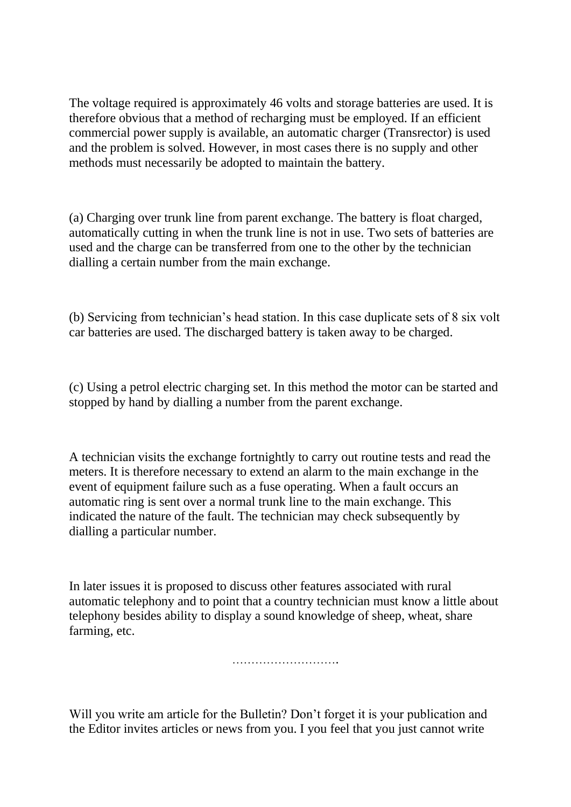The voltage required is approximately 46 volts and storage batteries are used. It is therefore obvious that a method of recharging must be employed. If an efficient commercial power supply is available, an automatic charger (Transrector) is used and the problem is solved. However, in most cases there is no supply and other methods must necessarily be adopted to maintain the battery.

(a) Charging over trunk line from parent exchange. The battery is float charged, automatically cutting in when the trunk line is not in use. Two sets of batteries are used and the charge can be transferred from one to the other by the technician dialling a certain number from the main exchange.

(b) Servicing from technician's head station. In this case duplicate sets of 8 six volt car batteries are used. The discharged battery is taken away to be charged.

(c) Using a petrol electric charging set. In this method the motor can be started and stopped by hand by dialling a number from the parent exchange.

A technician visits the exchange fortnightly to carry out routine tests and read the meters. It is therefore necessary to extend an alarm to the main exchange in the event of equipment failure such as a fuse operating. When a fault occurs an automatic ring is sent over a normal trunk line to the main exchange. This indicated the nature of the fault. The technician may check subsequently by dialling a particular number.

In later issues it is proposed to discuss other features associated with rural automatic telephony and to point that a country technician must know a little about telephony besides ability to display a sound knowledge of sheep, wheat, share farming, etc.

………………………………………

Will you write am article for the Bulletin? Don't forget it is your publication and the Editor invites articles or news from you. I you feel that you just cannot write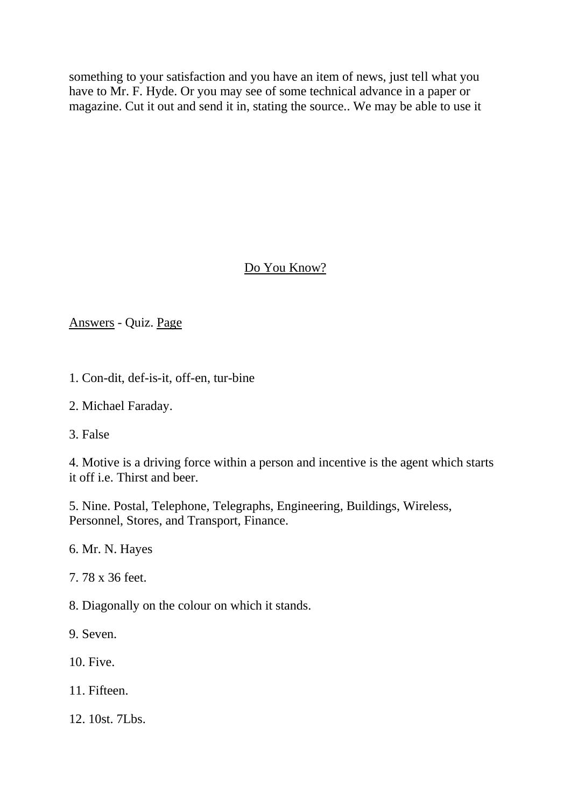something to your satisfaction and you have an item of news, just tell what you have to Mr. F. Hyde. Or you may see of some technical advance in a paper or magazine. Cut it out and send it in, stating the source.. We may be able to use it

# Do You Know?

### Answers - Quiz. Page

- 1. Con-dit, def-is-it, off-en, tur-bine
- 2. Michael Faraday.
- 3. False

4. Motive is a driving force within a person and incentive is the agent which starts it off i.e. Thirst and beer.

5. Nine. Postal, Telephone, Telegraphs, Engineering, Buildings, Wireless, Personnel, Stores, and Transport, Finance.

6. Mr. N. Hayes

7. 78 x 36 feet.

8. Diagonally on the colour on which it stands.

9. Seven.

10. Five.

11. Fifteen.

12. 10st. 7Lbs.